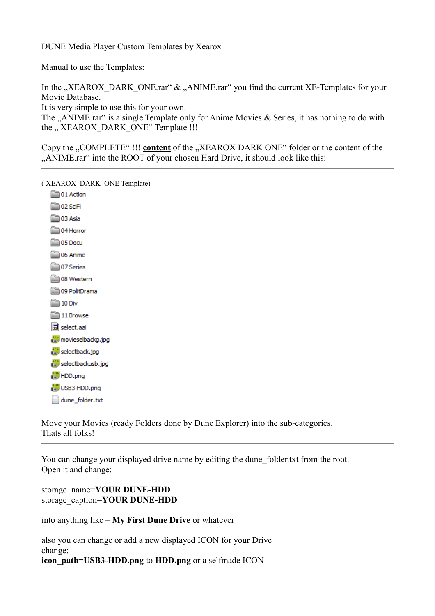DUNE Media Player Custom Templates by Xearox

Manual to use the Templates:

In the "XEAROX\_DARK\_ONE.rar"  $\&$  "ANIME.rar" you find the current XE-Templates for your Movie Database.

It is very simple to use this for your own.

The "ANIME.rar" is a single Template only for Anime Movies  $\&$  Series, it has nothing to do with the " XEAROX DARK ONE" Template !!!

Copy the "COMPLETE" !!! **content** of the "XEAROX DARK ONE" folder or the content of the "ANIME.rar" into the ROOT of your chosen Hard Drive, it should look like this:

( XEAROX\_DARK\_ONE Template)

01 Action 02 SciFi 03 Asia 04 Horror 05 Docu 06 Anime 07 Series 08 Western 09 PolitDrama  $20$  Div 11 Browse select.aai movieselbackg.jpg selectback.jpg selectbackusb.jpg **Ford HDD.png ENG** USB3-HDD.png dune folder.txt

Move your Movies (ready Folders done by Dune Explorer) into the sub-categories. Thats all folks!

You can change your displayed drive name by editing the dune\_folder.txt from the root. Open it and change:

storage\_name=**YOUR DUNE-HDD** storage\_caption=**YOUR DUNE-HDD**

into anything like – **My First Dune Drive** or whatever

also you can change or add a new displayed ICON for your Drive change: **icon** path=USB3-HDD.png to HDD.png or a selfmade ICON